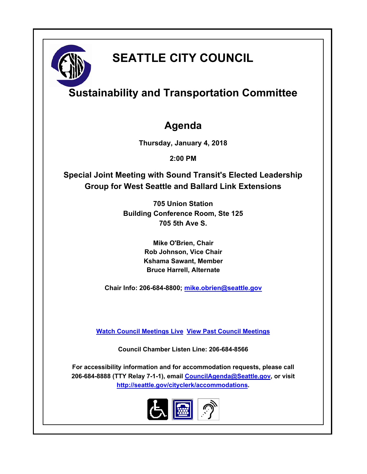

# **SEATTLE CITY COUNCIL**

## **Sustainability and Transportation Committee**

## **Agenda**

**Thursday, January 4, 2018**

**2:00 PM**

**Special Joint Meeting with Sound Transit's Elected Leadership Group for West Seattle and Ballard Link Extensions**

> **705 Union Station Building Conference Room, Ste 125 705 5th Ave S.**

> > **Mike O'Brien, Chair Rob Johnson, Vice Chair Kshama Sawant, Member Bruce Harrell, Alternate**

**Chair Info: 206-684-8800; [mike.obrien@seattle.gov](mailto:mike.obrien@seattle.gov)**

**[Watch Council Meetings Live](http://www.seattle.gov/council/councillive.htm) [View Past Council Meetings](http://www.seattlechannel.org/videos/browseVideos.asp?topic=council)**

**Council Chamber Listen Line: 206-684-8566**

**For accessibility information and for accommodation requests, please call 206-684-8888 (TTY Relay 7-1-1), email [CouncilAgenda@Seattle.gov](mailto:CouncilAgenda@Seattle.gov), or visit <http://seattle.gov/cityclerk/accommodations>.**

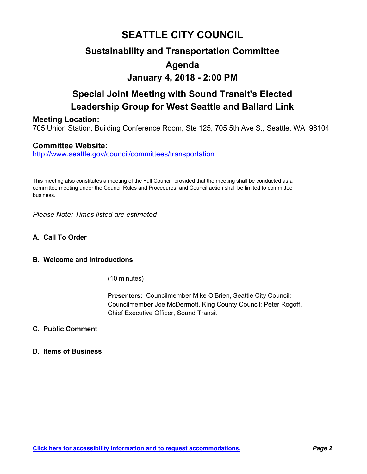### **SEATTLE CITY COUNCIL**

### **Sustainability and Transportation Committee Agenda**

# **January 4, 2018 - 2:00 PM**

## **Special Joint Meeting with Sound Transit's Elected Leadership Group for West Seattle and Ballard Link**

### **Meeting Location:**

705 Union Station, Building Conference Room, Ste 125, 705 5th Ave S., Seattle, WA 98104

### **Committee Website:**

http://www.seattle.gov/council/committees/transportation

This meeting also constitutes a meeting of the Full Council, provided that the meeting shall be conducted as a committee meeting under the Council Rules and Procedures, and Council action shall be limited to committee business.

*Please Note: Times listed are estimated*

**A. Call To Order**

#### **B. Welcome and Introductions**

(10 minutes)

**Presenters:** Councilmember Mike O'Brien, Seattle City Council; Councilmember Joe McDermott, King County Council; Peter Rogoff, Chief Executive Officer, Sound Transit

#### **C. Public Comment**

#### **D. Items of Business**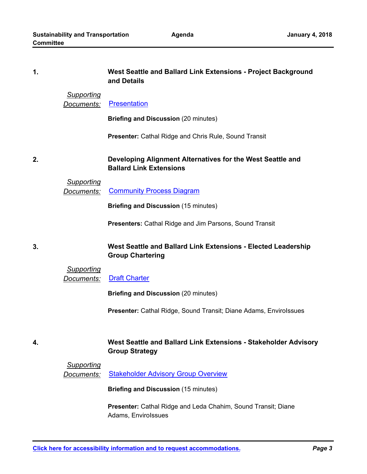#### **West Seattle and Ballard Link Extensions - Project Background and Details 1.**

#### *Supporting*

*Documents:* [Presentation](http://seattle.legistar.com/gateway.aspx?M=F&ID=b31b9050-6884-4fd7-a540-1de52b50c0ac.pdf)

**Briefing and Discussion** (20 minutes)

**Presenter:** Cathal Ridge and Chris Rule, Sound Transit

#### **Developing Alignment Alternatives for the West Seattle and Ballard Link Extensions 2.**

#### *Supporting*

**3.**

**4.**

**Documents:** [Community Process Diagram](http://seattle.legistar.com/gateway.aspx?M=F&ID=2b93efe9-ae1b-402d-bb78-bc5ab45ac25b.pdf)

**Briefing and Discussion** (15 minutes)

**Presenters:** Cathal Ridge and Jim Parsons, Sound Transit

#### **West Seattle and Ballard Link Extensions - Elected Leadership Group Chartering**

#### *Supporting Documents:* [Draft Charter](http://seattle.legistar.com/gateway.aspx?M=F&ID=0bbdb9bf-0dca-4557-8f04-d237ca995e23.pdf)

**Briefing and Discussion** (20 minutes)

**Presenter: Cathal Ridge, Sound Transit; Diane Adams, EnviroIssues** 

#### **West Seattle and Ballard Link Extensions - Stakeholder Advisory Group Strategy**

#### *Supporting*

**Documents:** [Stakeholder Advisory Group Overview](http://seattle.legistar.com/gateway.aspx?M=F&ID=29d583f0-ac9a-430e-b16f-1da250728a07.pdf)

**Briefing and Discussion** (15 minutes)

**Presenter:** Cathal Ridge and Leda Chahim, Sound Transit; Diane Adams, EnviroIssues